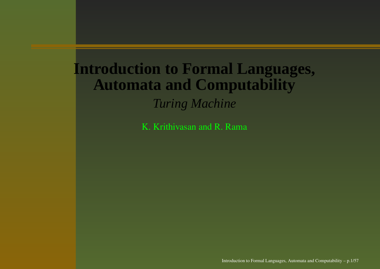#### **Introduction to Formal Languages, Automata and Computability** *Turing Machine*

K. Krithivasan and R. Rama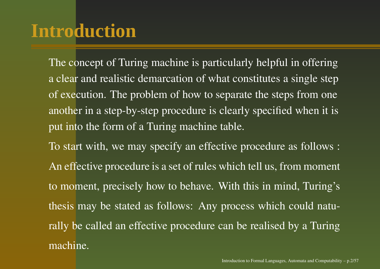## **Introduction**

The concep<sup>t</sup> of Turing machine is particularly helpful in offering a clear and realistic demarcation of what constitutes <sup>a</sup> single step of execution. The problem of how to separate the steps from one another in <sup>a</sup> step-by-step procedure is clearly specified when it is pu<sup>t</sup> into the form of <sup>a</sup> Turing machine table.

To start with, we may specify an effective procedure as follows : An effective procedure is <sup>a</sup> set of rules which tell us, from moment to moment, precisely how to behave. With this in mind, Turing's thesis may be stated as follows: Any process which could naturally be called an effective procedure can be realised by <sup>a</sup> Turing machine.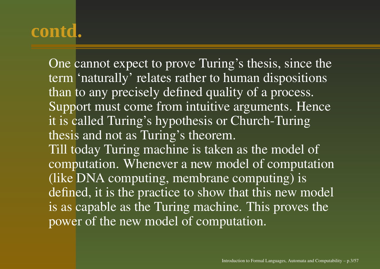One cannot expec<sup>t</sup> to prove Turing's thesis, since the term 'naturally' relates rather to human dispositions than to any precisely defined quality of <sup>a</sup> process. Support must come from intuitive arguments. Hence it is called Turing's hypothesis or Church-Turing thesis and not as Turing's theorem. Till today Turing machine is taken as the model of computation. Whenever <sup>a</sup> new model of computation (like DNA computing, membrane computing) is defined, it is the practice to show that this new model is as capable as the Turing machine. This proves the power of the new model of computation.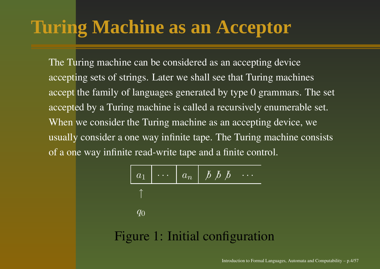# **Turing Machine as an Acceptor**

The Turing machine can be considered as an accepting device accepting sets of strings. Later we shall see that Turing machines accep<sup>t</sup> the family of languages generated by type 0 grammars. The set accepted by <sup>a</sup> Turing machine is called <sup>a</sup> recursively enumerable set. When we consider the Turing machine as an accepting device, we usually consider <sup>a</sup> one way infinite tape. The Turing machine consists of a one way infinite read-write tape and <sup>a</sup> finite control.

| $a_1$ | $\cdots$ | $a_n$ | $\cancel{b} \cancel{b} \cancel{b} \cdots$ |
|-------|----------|-------|-------------------------------------------|
| 1     |          |       |                                           |
| $q_0$ |          |       |                                           |

\n**Figure 1: Initial configuration**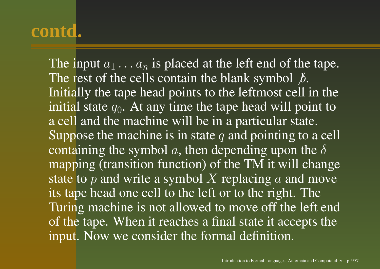The input  $a_1 \ldots a_n$  is placed at the left end of the tape. The rest of the cells contain the blank symbol  $\beta$ . Initially the tape head points to the leftmost cell in the initial state  $q_0$ . At any time the tape head will point to a cell and the machine will be in <sup>a</sup> particular state. Suppose the machine is in state q and pointing to a cell containing the symbol a, then depending upon the  $\delta$ mapping (transition function) of the TM it will change state to  $p$  and write a symbol  $X$  replacing  $a$  and move its tape head one cell to the left or to the right. The Turing machine is not allowed to move off the left end of the tape. When it reaches <sup>a</sup> final state it accepts the input. Now we consider the formal definition.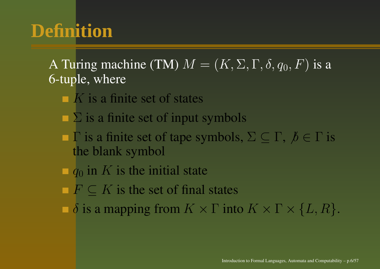# **Definition**

A Turing machine (TM)  $M = (K, \Sigma, \Gamma, \delta, q_0, F)$  is a 6-tuple, where

- K is <sup>a</sup> finite set of states
- $\Sigma$  is a finite set of input symbols
- $\Gamma$  is a finite set of tape symbols,  $\Sigma \subseteq \Gamma$ ,  $\beta \in \Gamma$  is the blank symbol
- $\Box$  q<sub>0</sub> in K is the initial state
- $F \subseteq K$  is the set of final states
- $\delta$  is a mapping from  $K \times \Gamma$  into  $K \times \Gamma \times \{L, R\}.$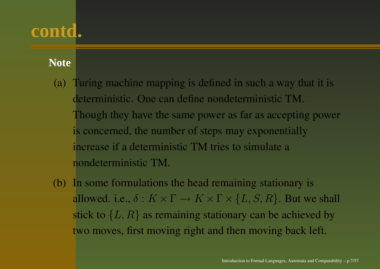#### **Note**

- (a) Turing machine mapping is defined in such <sup>a</sup> way that it is deterministic. One can define nondeterministic TM. Though they have the same power as far as accepting power is concerned, the number of steps may exponentially increase if <sup>a</sup> deterministic TM tries to simulate <sup>a</sup> nondeterministic TM.
- (b) In some formulations the head remaining stationary is allowed. i.e.,  $\delta: K \times \Gamma \to K \times \Gamma \times \{L, S, R\}$ . But we shall stick to  $\{L,R\}$  as remaining stationary can be achieved by two moves, first moving right and then moving back left.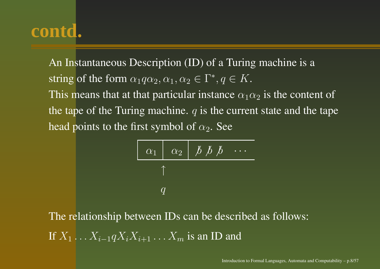An Instantaneous Description (ID) of <sup>a</sup> Turing machine is <sup>a</sup> string of the form  $\alpha_1 q \alpha_2, \alpha_1, \alpha_2 \in \Gamma^*, q \in K$ . This means that at that particular instance  $\alpha_1\alpha_2$  is the content of the tape of the Turing machine.  $q$  is the current state and the tape head points to the first symbol of  $\alpha_2.$  See

$$
\begin{array}{c|ccccc}\n\hline\n\alpha_1 & \alpha_2 & \cancel{b} & \cancel{b} & \cancel{b} & \cdots \\
\uparrow & & & & \\
q & & & & \\
\hline\n\end{array}
$$

The relationship between IDs can be described as follows: If  $X_1 \ldots X_{i-1} q X_i X_{i+1} \ldots X_m$  is an ID and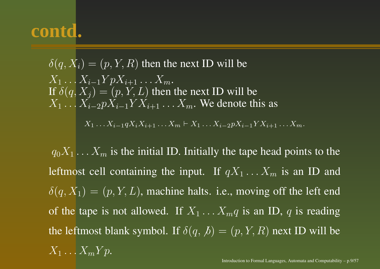$$
\delta(q, X_i) = (p, Y, R)
$$
 then the next ID will be  
\n
$$
X_1 \dots X_{i-1} Y p X_{i+1} \dots X_m.
$$
  
\nIf  $\delta(q, X_j) = (p, Y, L)$  then the next ID will be  
\n
$$
X_1 \dots X_{i-2} p X_{i-1} Y X_{i+1} \dots X_m
$$
. We denote this as

 $X_1 \ldots X_{i-1} q X_i X_{i+1} \ldots X_m \vdash X_1 \ldots X_{i-2} p X_{i-1} Y X_{i+1} \ldots X_m.$ 

 $q_0X_1 \ldots X_m$  is the initial ID. Initially the tape head points to the leftmost cell containing the input. If  $qX_1 \ldots X_m$  is an ID and  $\delta(q, X_1) = (p, Y, L)$ , machine halts. i.e., moving off the left end of the tape is not allowed. If  $X_1 \ldots X_m q$  is an ID, q is reading the leftmost blank symbol. If  $\delta(q, b) = (p, Y, R)$  next ID will be  $X_1 \dots X_m Y p.$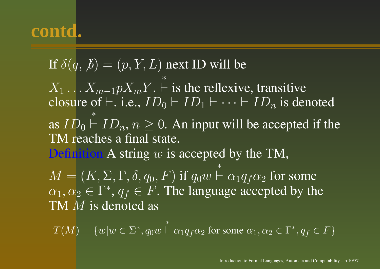If  $\delta(q,\not\!b)=(p,Y,L)$  next ID will be  $X_1 \ldots X_{m-1} p X_m Y.$ ∗ ` is the reflexive, transitive closure of  $\vdash$ . i.e.,  $ID_0 \vdash ID_1 \vdash \cdots \vdash ID_n$  is denoted as  $ID_0 \vdash ID_n$ ,  $n \geq 0$ . An input will be accepted if the ∗TM reaches <sup>a</sup> final state. Definition A string  $w$  is accepted by the TM,  $M = (K, \Sigma, \Gamma, \delta, q_0, F) \text{ if } q_0w$  $⊭^*$   $\alpha_1q_f\alpha_2$  for some  $\alpha_1, \alpha_2 \in \Gamma^*, q_f \in F$ . The language accepted by the TM  $M$  is denoted as

 $T(M)=\{w|w\in\Sigma^*,q_0w$  $\stackrel{*}{\vdash} \alpha_1q_f\alpha_2$  for some  $\alpha_1,\alpha_2\in \Gamma^*, q_f\in F\}$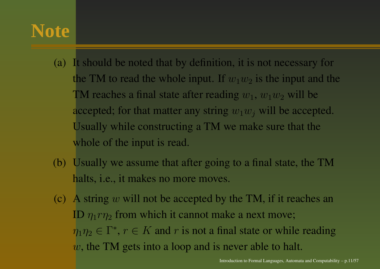### **Note**

- (a) It should be noted that by definition, it is not necessary for the TM to read the whole input. If  $w_1w_2$  is the input and the TM reaches a final state after reading  $w_1, w_1w_2$  will be accepted; for that matter any string  $w_1w_j$  will be accepted. Usually while constructing <sup>a</sup> TM we make sure that the whole of the input is read.
- (b) Usually we assume that after going to <sup>a</sup> final state, the TM halts, *i.e.*, it makes no more moves.
- (c) A string  $w$  will not be accepted by the TM, if it reaches an ID  $\eta_1 r \eta_2$  from which it cannot make a next move;  $\eta_1\eta_2 \in \Gamma^*$ ,  $r \in K$  and r is not a final state or while reading  $w$ , the TM gets into a loop and is never able to halt.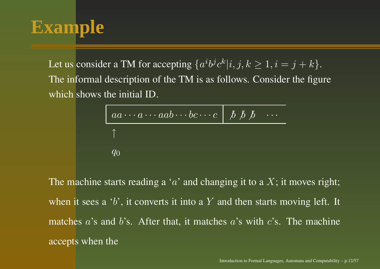### **Example**

Let us consider a TM for accepting  $\{a^i b^j c^k | i, j, k \geq 1, i = j + k\}.$ The informal description of the TM is as follows. Consider the figure which shows the initial ID.

$$
\begin{array}{c|ccc}\n & a \cdots a \cdots aab \cdots bc \cdots c & b & b & b & \cdots \\
\uparrow & & & & \\
q_0 & & & & & \\
\end{array}
$$

The machine starts reading a 'a' and changing it to a  $X;$  it moves right; when it sees a 'b', it converts it into a  $Y$  and then starts moving left. It matches a's and b's. After that, it matches a's with c's. The machine accepts when the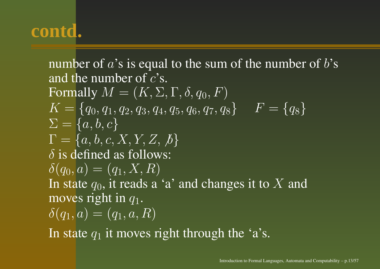number of  $a$ 's is equal to the sum of the number of  $b$ 's and the number of  $c$ 's. Formally  $M = (K, \Sigma, \Gamma, \delta, q_0, F)$  $K = \{q_0, q_1, q_2, q_3, q_4, q_5, q_6, q_7, q_8\} \hspace{.2in} F = \{q_8\}$  $\Sigma = \{a,b,c\}$  $\Gamma = \{a,b,c,X,Y,Z,\not\!\!b\}$  $\delta$  is defined as follows:  $\delta(q_0, a) = (q_1, X, R)$ In state  $q_0$ , it reads a 'a' and changes it to  $X$  and moves right in  $q_1.$  $\delta(q_1, a) = (q_1, a, R)$ 

In state  $q_1$  it moves right through the 'a's.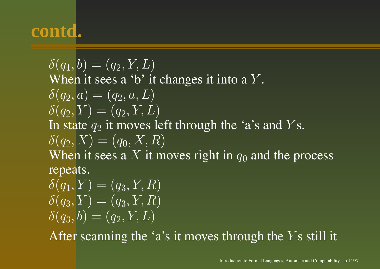$\delta(q_1, b) = (q_2, Y, L)$ When it sees a 'b' it changes it into a  $Y$ .  $\delta(q_2, a) = (q_2, a, L)$  $\delta(q_2, Y) = (q_2, Y, L)$ In state  $q_2$  it moves left through the 'a's and  $Y\mathrm{s}.$  $\delta(q_2, X) = (q_0, X, R)$ When it sees a X it moves right in  $q_0$  and the process repeats.  $\delta(q_1, Y) = (q_3, Y, R)$ 

 $\delta(q_3, Y) = (q_3, Y, R)$  $\delta(q_3, b) = (q_2, Y, L)$ 

After scanning the 'a's it moves through the  $Y$ s still it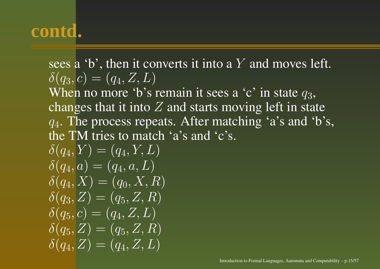sees a 'b', then it converts it into a  $Y$  and moves left.  $\delta(q_3, c) = (q_4, Z, L)$ When no more 'b's remain it sees a 'c' in state  $q_3$ , changes that it into  $Z$  and starts moving left in state  $q_4$ . The process repeats. After matching 'a's and 'b's, the TM tries to match 'a's and 'c's.  $\delta(q_4, Y) = (q_4, Y, L)$  $\delta(q_4, a) = (q_4, a, L)$  $\delta(q_4, X) = (q_0, X, R)$  $\delta(q_3,Z)=(q_5,Z,R)$  $\delta(q_5, c) = (q_4, Z, L)$  $\delta(q_5,\bar{Z})=(q_5,Z,R)$  $\delta(q_4,Z) = (q_4,Z,L)$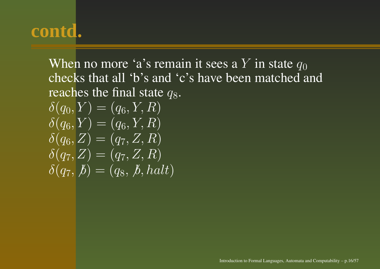When no more 'a's remain it sees a  $Y$  in state  $q_0$ checks that all 'b's and 'c's have been matched and reaches the final state  $q_8.$  $\delta(q_0, Y) = (q_6, Y, R)$  $\delta(q_6, Y) = (q_6, Y, R)$  $\delta(q_6,Z) = (q_7,Z,R)$  $\delta(q_7,Z) = (q_7,Z,R)$  $\delta(q_7, \cancel{b}) = (q_8, \cancel{b}, \text{halt})$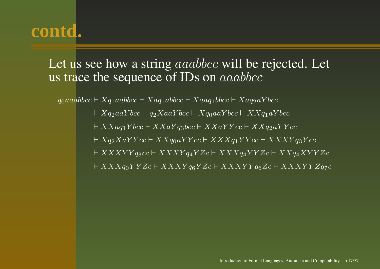#### Let us see how a string  $aaabbcc$  will be rejected. Let us trace the sequence of IDs on  $aaabbcc$

 $q_0aaabbcc \vdash Xq_1aabbcc \vdash Xaq_1abbcc \vdash Xaaq_1bbc \vdash Xaq_2aYbcc$ 

 $\vdash Xq_2aaYbcc \vdash q_2XaaYbcc \vdash Xq_0aaYbcc \vdash XXq_1aYbcc$ 

 $\vdash XXaq_1Ybcc \vdash XXaYq_3bcc \vdash XXaYYcc \vdash XXq_2aYYcc$ 

 $\vdash Xq_2XaYYcc \vdash XXq_0aYYcc \vdash XXXq_1YYcc \vdash XXXYq_3Ycc$ 

 $\vdash XXXYY q_3cc \vdash XXXY q_4YZc \vdash XXX q_4YYZc \vdash XX q_4XYYZc$ 

 $\vdash XXXq_0YYZc \vdash XXXYq_6YZc \vdash XXXYYq_6Zc \vdash XXXYYZq_7c$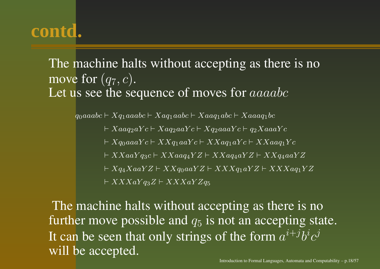#### The machine halts without accepting as there is no move for  $(q_7, c)$ . Let us see the sequence of moves for  $aaaabc$

 $q_0aaabc \vdash Xq_1aaabc \vdash Xaq_1aabc \vdash Xaaq_1abc \vdash Xaaaq_1bc$ 

- $\vdash Xaaq_2aYc \vdash Xaq_2aaYc \vdash Xq_2aaaYc \vdash q_2XaaaYc$
- $\vdash Xq_0aaaYc \vdash XXq_1aaYc \vdash XXaq_1aYc \vdash XXaaq_1Yc$
- $\vdash XXaaY q_3c \vdash XXaa q_4YZ \vdash XXa q_4aYZ \vdash XXq_4aaYZ$
- $\vdash Xq_4XaaYZ \vdash XXq_0aaYZ \vdash XXXq_1aYZ \vdash XXXaq_1YZ$

 $\vdash XXXaY q_3Z \vdash XXXaYZ q_5$ 

The machine halts without accepting as there is no further move possible and  $q_5$  is not an accepting state. It can be seen that only strings of the form  $a^{i+j}b^ic^j$ will be accepted.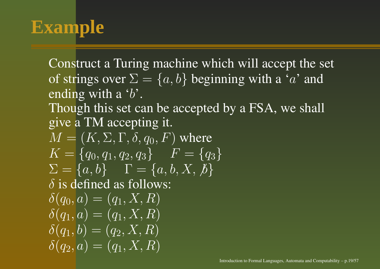## **Example**

Construct <sup>a</sup> Turing machine which will accep<sup>t</sup> the set of strings over  $\Sigma = \{a, b\}$  beginning with a 'a' and ending with a 'b'. Though this set can be accepted by <sup>a</sup> FSA, we shall give <sup>a</sup> TM accepting it.  $M = (K, \Sigma, \Gamma, \delta, q_0, F)$  where  $K = \{q_0, q_1, q_2, q_3\}$   $F = \{q_3\}$  $\Sigma = \{a, b\}$   $\Gamma = \{a, b, X, b\}$  $\delta$  is defined as follows:  $\delta(q_0, a) = (q_1, X, R)$  $\delta(q_1, a) = (q_1, X, R)$  $\delta(q_1, b) = (q_2, X, R)$  $\delta(q_2, a) = (q_1, X, R)$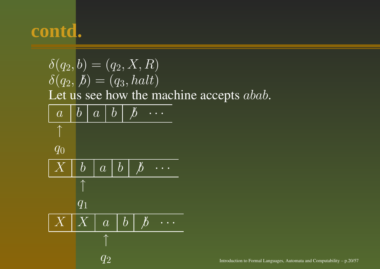$\delta \overline{(q_2, b)} = (\overline{q_2, X}, R)$  $\delta(q_2, \cancel{b}) = (q_3, \text{halt})$ Let us see how the machine accepts  $abab$ .  $\overline{a}$  $b \mid a \mid b \mid b$ ↑  $q_0$  $\,X\,$  $X \mid b \mid a \mid b \mid \not b$   $\cdots$ ↑  $q_1$  $\,X\,$  $\begin{array}{|c|c|c|c|c|}\n a & b & b & \cdots \end{array}$ ↑  $q_2$  Introduction to Formal Languages, Automata and Computability – p.20/57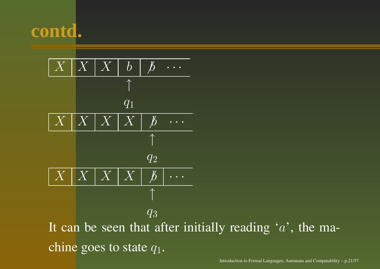

It can be seen that after initially reading  $'a'$ , the machine goes to state  $q_1.$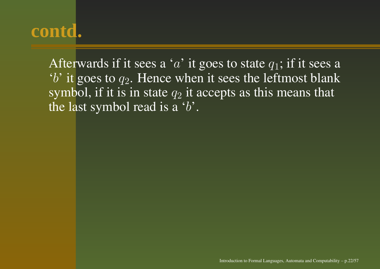Afterwards if it sees a 'a' it goes to state  $q_1$ ; if it sees a  $'b'$  it goes to  $q_2$ . Hence when it sees the leftmost blank symbol, if it is in state  $q_2$  it accepts as this means that the last symbol read is a ' $b$ '.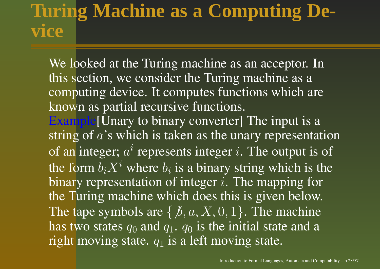#### **Turing Machine as <sup>a</sup> Computing Device**

We looked at the Turing machine as an acceptor. In this section, we consider the Turing machine as a computing device. It computes functions which are known as partial recursive functions. Example<sup>[Unary to binary converter]</sup> The input is a string of  $a$ 's which is taken as the unary representation of an integer;  $a^i$  represents integer *i*. The output is of the form  $b_iX^i$  where  $b_i$  is a binary string which is the binary representation of integer  $i$ . The mapping for the Turing machine which does this is given below. The tape symbols are  $\{ \not b, a, X, 0, 1 \}.$  The machine has two states  $q_0$  and  $q_1$ .  $q_0$  is the initial state and a right moving state.  $q_1$  is a left moving state.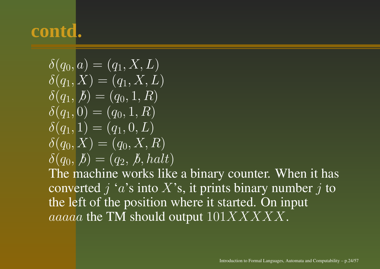$$
\begin{aligned}\n\delta(q_0, a) &= (q_1, X, L) \\
\delta(q_1, X) &= (q_1, X, L) \\
\delta(q_1, b) &= (q_0, 1, R) \\
\delta(q_1, 0) &= (q_0, 1, R) \\
\delta(q_1, 1) &= (q_1, 0, L) \\
\delta(q_0, X) &= (q_0, X, R) \\
\delta(q_0, b) &= (q_2, b, halt) \\
\text{The morphisms work like}\n\end{aligned}
$$

The machine works like <sup>a</sup> binary counter. When it has converted  $j$  'a's into  $X$ 's, it prints binary number  $j$  to the left of the position where it started. On input  $aaaaa$  the TM should output  $101XXXX$  .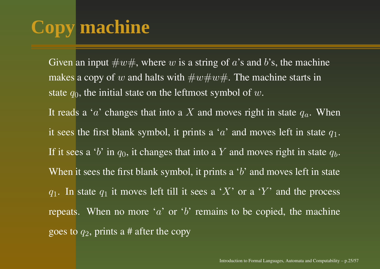# **Copy machine**

Given an input  $\#w\#$ , where  $w$  is a string of  $a$ 's and  $b$ 's, the machine makes a copy of  $w$  and halts with  $\#w\#w\#.$  The machine starts in state  $q_0,$  the initial state on the leftmost symbol of  $w.$ It reads a ' $a$ ' changes that into a  $X$  and moves right in state  $q_a$ . When it sees the first blank symbol, it prints a 'a' and moves left in state  $q_1$ . If it sees a 'b' in  $q_0$ , it changes that into a  $Y$  and moves right in state  $q_b.$ When it sees the first blank symbol, it prints a 'b' and moves left in state  $q_1$ . In state  $q_1$  it moves left till it sees a 'X' or a 'Y' and the process repeats. When no more 'a' or 'b' remains to be copied, the machine goes to  $q_2$ , prints a # after the copy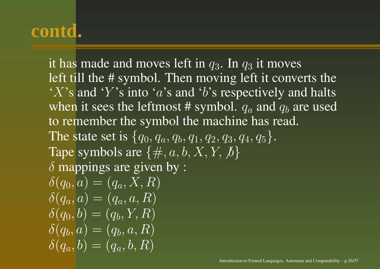it has made and moves left in  $q_3.$  In  $q_3$  it moves left till the # symbol. Then moving left it converts the 'X's and 'Y's into 'a's and 'b's respectively and halts when it sees the leftmost # symbol.  $q_a$  and  $q_b$  are used to remember the symbol the machine has read. The state set is  $\{q_0, q_a, q_b, q_1, q_2, q_3, q_4, q_5\}.$ Tape symbols are  $\{\#, a, b, X, Y, \emptyset\}$  $\delta$  mappings are given by :  $\delta(q_0, a) = (q_a, X, R)$  $\delta(q_a, a) = (q_a, a, R)$  $\delta(q_0, b) = (q_b, Y, R)$  $\delta(q_b, a) = \overline{(q_b, a, R)}$  $\delta(q_a, b) = (q_a, b, R)$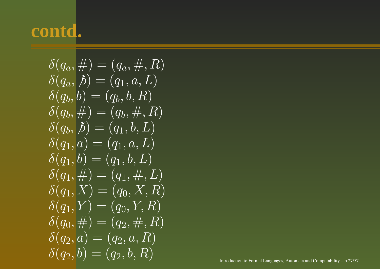$$
\delta(q_a, \#) = (q_a, \#, R) \n\delta(q_a, \#) = (q_1, a, L) \n\delta(q_b, b) = (q_b, b, R) \n\delta(q_b, \#) = (q_b, \#, R) \n\delta(q_b, \#) = (q_1, b, L) \n\delta(q_1, a) = (q_1, a, L) \n\delta(q_1, b) = (q_1, b, L) \n\delta(q_1, \#) = (q_1, \#, L) \n\delta(q_1, X) = (q_0, X, R) \n\delta(q_1, Y) = (q_0, Y, R) \n\delta(q_0, \#) = (q_2, \#, R) \n\delta(q_2, a) = (q_2, a, R) \n\delta(q_2, b) = (q_2, b, R)
$$
\n\nInroduction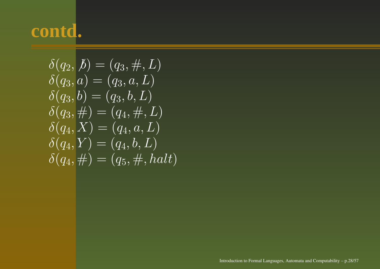$$
\begin{aligned}\n\delta(q_2, \cancel{b}) &= (q_3, \cancel{a}, L) \\
\delta(q_3, a) &= (q_3, a, L) \\
\delta(q_3, b) &= (q_3, b, L) \\
\delta(q_3, \cancel{b}) &= (q_4, \cancel{b}, L) \\
\delta(q_4, X) &= (q_4, a, L) \\
\delta(q_4, Y) &= (q_4, b, L) \\
\delta(q_4, \cancel{b}) &= (q_5, \cancel{b}, halt)\n\end{aligned}
$$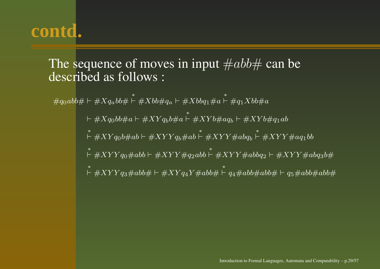#### The sequence of moves in input  $\#abb\#$  can be described as follows :

 $\#q_0abb\# \vdash \#Xq_abb\#$  $\stackrel{*}{\vdash} \# Xbb\# q_a \vdash \# Xbbq_1 \# a$  $\stackrel{*}{\vdash} \# q_1Xbb\# a$ 

> $\vdash \#Xq_0bb\#a \vdash \#XYq_bb\#a$  $\stackrel{*}{\vdash} \#XYb\#aq_b \vdash \#XYb\#q_1ab$  $\stackrel{*}{\vdash} \#XYq_0b\#ab \vdash \#XYYq_b\#ab$  $\stackrel{*}{\vdash} \# X Y Y \# abq_b$  $\stackrel{*}{\vdash} \# XYY \# aq_1 bb$  $\stackrel{*}{\vdash} \# XYY q_0 \# abb \vdash \# XYY \# q_2abb$  $\stackrel{*}{\vdash} \# XYY \#abbq_2 \vdash \# XYY \# abq_3b\#$  $\stackrel{*}{\vdash} \# XYY q_3\# abb\# \vdash \# XY q_4Y\# abb\#$  $\stackrel{*}{\vdash} q_4\#abb\#abb\# \vdash q_5\#abb\#abb\#$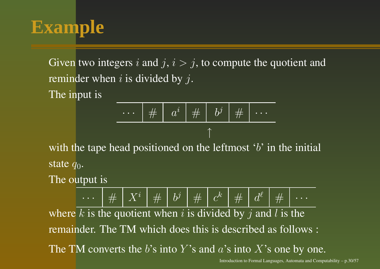### **Example**

Given two integers i and  $j, i > j$ , to compute the quotient and reminder when  $i$  is divided by  $j$ .

The input is

$$
\cdots \mid \#\;\mid a^{i} \mid \#\;\mid b^{j} \mid \#\;\mid \cdots
$$

with the tape head positioned on the leftmost  $b'$  in the initial state  $q_0.$ 

The output is

· $\begin{array}{|c|c|c|c|c|}\hline \hline \# & {X}^i & \# & b^j & \# & c^k & \# & d^{\ell} & \# \ \hline \end{array}$ where k is the quotient when i is divided by j and l is the remainder. The TM which does this is described as follows : The TM converts the b's into Y's and  $a$ 's into X's one by one.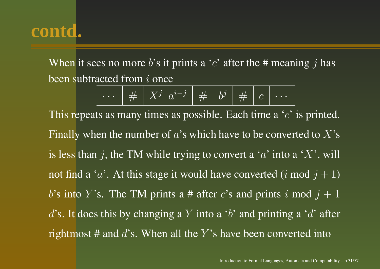When it sees no more b's it prints a 'c' after the # meaning j has been subtracted from  $i$  once

$$
\cdots \mid \# \left[ \right. X^j \left. a^{i-j} \right. \left| \right. \# \left. \left| \right. b^j \right. \left| \right. \# \left. \left| \right. c \right. \left| \right. \cdots
$$

This repeats as many times as possible. Each time a ' $c$ ' is printed. Finally when the number of  $a$ 's which have to be converted to  $X$ 's is less than j, the TM while trying to convert a 'a' into a 'X', will not find a ' $a$ '. At this stage it would have converted  $(i \bmod j+1)$ b's into Y's. The TM prints a # after c's and prints i mod  $j + 1$ d's. It does this by changing a Y into a 'b' and printing a 'd' after rightmost # and  $d$ 's. When all the Y's have been converted into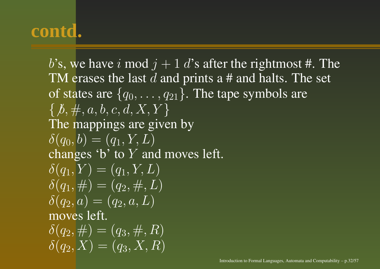b's, we have i mod  $j + 1$  d's after the rightmost #. The TM erases the last  $d$  and prints a # and halts. The set of states are  $\{q_0, \ldots, q_{21}\}.$  The tape symbols are  $\{b, \#, a, b, c, d, X, Y\}$ The mappings are given by  $\delta(q_0, b) = (q_1, Y, L)$ changes 'b' to Y and moves left.  $\delta(q_1, Y) = (q_1, Y, L)$  $\delta(q_1,\neq) = (q_2, \neq, L)$  $\delta(q_2, a) = (q_2, a, L)$ moves left.  $\delta(q_2, \#) = (q_3, \#, R)$  $\delta(q_2,\overline{X})=(q_3,\overline{X},R)$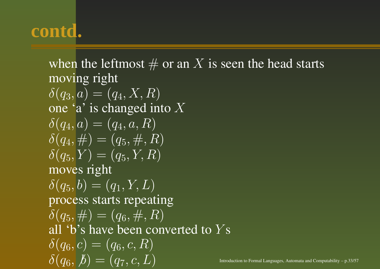when the leftmost  $\#$  or an  $X$  is seen the head starts moving right  $\delta(q_3, a) = (q_4, X, R)$ one 'a' is changed into  $X$  $\delta(q_4, a) = (q_4, a, R)$  $\delta(q_4, \#) = (q_5, \#, R)$  $\delta(q_5, Y) = (q_5, Y, R)$ moves right  $\delta(q_5, b) = (q_1, Y, L)$ process starts repeating  $\delta(q_5, \neq) = (q_6, \neq, R)$ all 'b's have been converted to  $Y\mathrm{s}$  $\delta(q_6, c) = (q_6, c, R)$  $\delta(q_6,\,b) = (q_7, c, L)$  Introduction to Formal Languages, Automata and Computability – p.33/57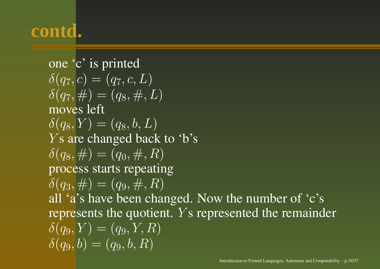one 'c' is printed  $\delta(q_7, c) = (q_7, c, L)$  $\delta(q_7, \#) = (q_8, \#, L)$ moves left  $\delta(q_8, Y) = (q_8, b, L)$  $Y\mathrm{s}$  are changed back to 'b's  $\delta(q_8, \#) = (q_0, \#, R)$ process starts repeating  $\delta(q_3, \#) = (q_9, \#, R)$ all 'a's have been changed. Now the number of 'c's represents the quotient. *Y*'s represented the remainder  $\delta(q_9, Y) = (q_9, Y, R)$  $\delta(q_9, b) = (q_9, b, R)$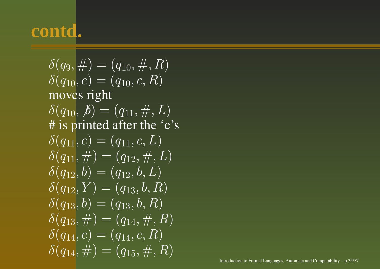$\delta(q_9, \#) = (q_{10}, \#, R)$  $\delta(q_{10}, c) = (q_{10}, c, R)$ moves right  $\delta(q_{10}, b) = (q_{11}, \#, L)$ # is printed after the 'c's  $\delta(q_{11}, c) = (q_{11}, c, L)$  $\delta(q_{11}, \#) = (q_{12}, \#, L)$  $\delta(q_{12}, b) = (q_{12}, b, L)$  $\delta(q_{12}, Y) = (q_{13}, b, R)$  $\delta(q_{13}, b) = (q_{13}, b, R)$  $\delta(q_{13}, \#) = (q_{14}, \#, R)$  $\delta(q_{14}, c) = (q_{14}, c, R)$  $\delta(q_{14}, \#) = (q_{15}, \#, R)$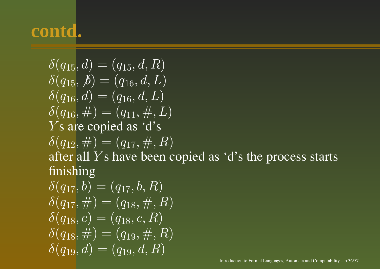$\delta(q_{15}, d) = (q_{15}, d, R)$  $\delta(q_{15}, b) = (q_{16}, d, L)$  $\delta(q_{16}, d) = (q_{16}, d, L)$  $\delta(q_{16}, \#) = (q_{11}, \#, L)$ Y <sup>s</sup> are copied as 'd's  $\delta(q_{12}, \#) = (q_{17}, \#, R)$ after all  $Y\mathrm{s}$  have been copied as 'd's the process starts finishing  $\delta(q_{17}, b) = (q_{17}, b, R)$  $\delta(q_{17}, \#) = (q_{18}, \#, R)$  $\delta(q_{18}, c) = (q_{18}, c, R)$  $\delta(q_{18}, \#) = (q_{19}, \#, R)$  $\delta(q_{19}, d) = (q_{19}, d, R)$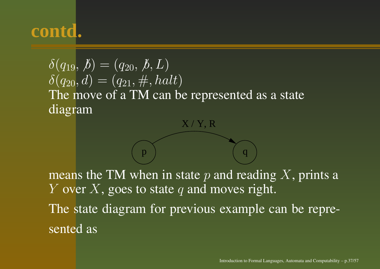$\delta(q_{19}, b) = (q_{20}, b, L)$  $\delta(q_{20}, d) = (q_{21}, \#, \text{halt})$ The move of <sup>a</sup> TM can be represented as <sup>a</sup> state diagram

means the TM when in state  $p$  and reading  $X$ , prints a  $Y$  over  $X$ , goes to state  $q$  and moves right. The state diagram for previous example can be represented as

 $X/Y$ , R

 $p \hspace{.1cm} q$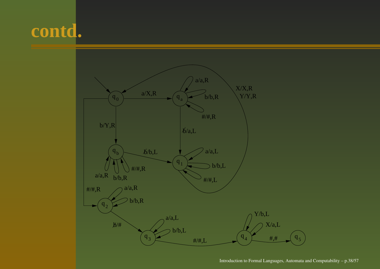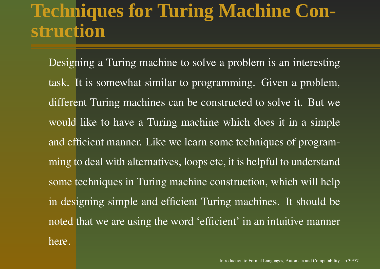#### **Techniques for Turing Machine Construction**

Designing <sup>a</sup> Turing machine to solve <sup>a</sup> problem is an interesting task. It is somewhat similar to programming. Given <sup>a</sup> problem, different Turing machines can be constructed to solve it. But we would like to have <sup>a</sup> Turing machine which does it in <sup>a</sup> simple and efficient manner. Like we learn some techniques of programming to deal with alternatives, loops etc, it is helpful to understand some techniques in Turing machine construction, which will help in designing simple and efficient Turing machines. It should be noted that we are using the word 'efficient' in an intuitive manner here.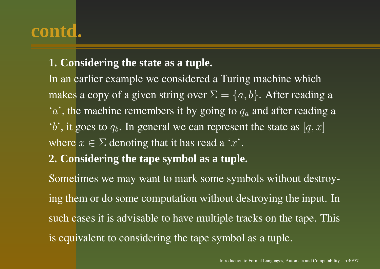#### **1. Considering the state as <sup>a</sup> tuple.**

In an earlier example we considered <sup>a</sup> Turing machine which makes a copy of a given string over  $\Sigma = \{a, b\}.$  After reading a  $a'$ , the machine remembers it by going to  $q_a$  and after reading a  $b'$ , it goes to  $q_b$ . In general we can represent the state as  $[q, x]$ where  $x \in \Sigma$  denoting that it has read a 'x'.

**2. Considering the tape symbol as <sup>a</sup> tuple.**

Sometimes we may want to mark some symbols without destroying them or do some computation without destroying the input. In such cases it is advisable to have multiple tracks on the tape. This is equivalent to considering the tape symbol as <sup>a</sup> tuple.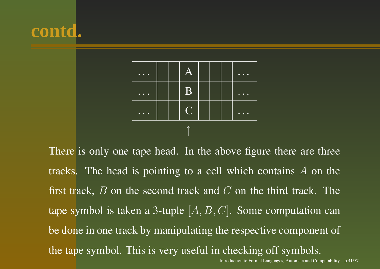



There is only one tape head. In the above figure there are three tracks. The head is pointing to <sup>a</sup> cell which contains A on the first track,  $B$  on the second track and  $C$  on the third track. The tape symbol is taken a 3-tuple  $[A, B, C]$ . Some computation can be done in one track by manipulating the respective componen<sup>t</sup> of the tape symbol. This is very useful in checking off symbols.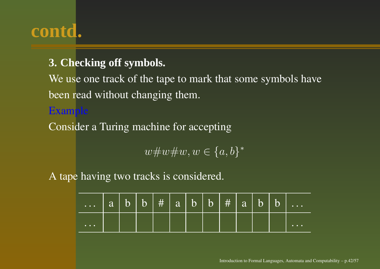#### **3. Checking off symbols.**

We use one track of the tape to mark that some symbols have been read without changing them.

#### Example

Consider a Turing machine for accepting

 $w \# w \# w, w \in \{a, b\}^*$ 

A tape having two tracks is considered.

| $a \overline{b}$   $b$   $\#$   $a \underline{b}$   $b$   $\#$   $a \underline{b}$   $b$   $b$ |  |  |  |  |  |                                        |
|------------------------------------------------------------------------------------------------|--|--|--|--|--|----------------------------------------|
| $\begin{array}{cccccccccccccc} \bullet & \bullet & \bullet & \bullet & \bullet \end{array}$    |  |  |  |  |  | $\bullet\quad\bullet\quad\bullet\quad$ |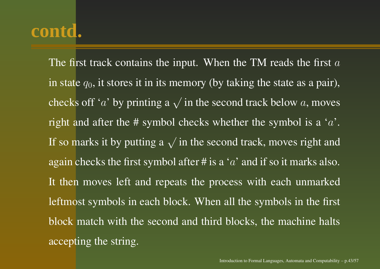The first track contains the input. When the TM reads the first  $a$ in state  $q_0,$  it stores it in its memory (by taking the state as a pair), checks off 'a' by printing a  $\sqrt{}$  in the second track below  $a,$  moves right and after the # symbol checks whether the symbol is a ' $a$ '. If so marks it by putting a  $\sqrt{}$  in the second track, moves right and again checks the first symbol after # is  $\overline{a} \cdot a'$  and if so it marks also. It then moves left and repeats the process with each unmarked leftmost symbols in each block. When all the symbols in the first block match with the second and third blocks, the machine halts accepting the string.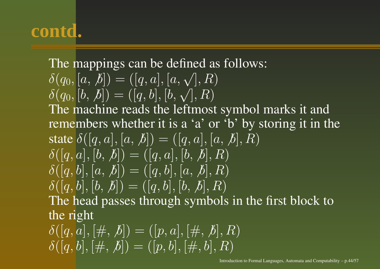#### The mappings can be defined as follows:  $\delta(a_0, \lceil a, b \rceil) = (\lceil a, a \rceil, \lceil a, \sqrt{3}, \sqrt{3} \rceil)$

$$
\delta(q_0, [b, b]) = ([q, b], [b, \sqrt{]}, R)
$$

The machine reads the leftmost symbol marks it and remembers whether it is <sup>a</sup> 'a' or 'b' by storing it in the state  $\delta([q,a],[a,\not\! b])=([q,a],[a,\not\! b],R)$  $\delta([q, a], [b, b]) = ([q, a], [b, b], R)$  $\delta([q, b], [a, b]) = ([q, b], [a, b], R)$  $\delta([q, b], [b, b]) = ([q, b], [b, b], R)$ The head passes through symbols in the first block to the right  $\delta([q, a], [\#, b]) = ([p, a], [\#, b], R)$  $[\delta([q,b],[\#,b]) = ([p,b],[\#,b],R)]$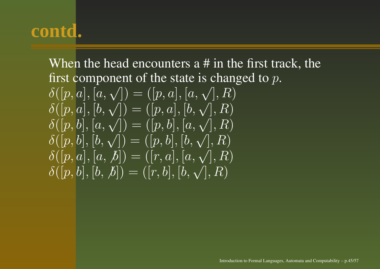When the head encounters <sup>a</sup> # in the first track, the first component of the state is changed to  $p.$ 

 $\delta([p, a], [a, \sqrt{q})] = ([p, a], [a, \sqrt{q}], R)$  $\delta([p, a], [b, \sqrt{]) = ([p, a], [b, \sqrt{]}, R)$  $\delta([p, b], [a, \sqrt{q}) = ([p, b], [a, \sqrt{q}, R)]$  $\delta([p, b], [b, \sqrt{2}]) = ([p, b], [b, \sqrt{2}], R)$  $\delta([p, a], [a, b]) = ([r, a], [a, \sqrt{2}], R)$  $\delta([p, b], [b, b]) = ([r, b], [b, \sqrt{b}], R)$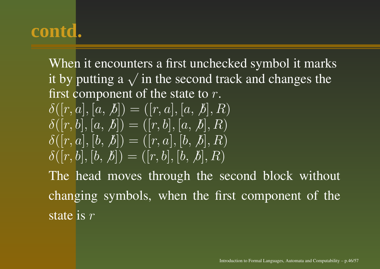When it encounters <sup>a</sup> first unchecked symbol it marks it by putting a  $\sqrt{}$  in the second track and changes the first component of the state to  $r.$  $\delta([r, a], [a, b]) = ([r, a], [a, b], R)$  $\delta([r, b], [a, b]) = ([r, b], [a, b], R)$  $\delta([r, a], [b, b]) = ([r, a], [b, b], R)$  $\delta([r, b], [b, b]) = ([r, b], [b, b], R)$ The head moves through the second block without changing symbols, when the first componen<sup>t</sup> of the state is  $r$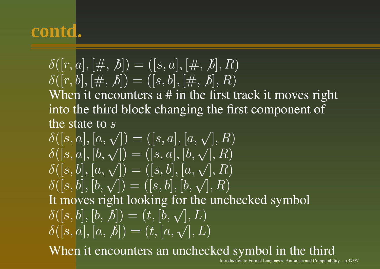$$
\delta([r, a], [\#, b]) = ([s, a], [\#, b], R)
$$
  
\n
$$
\delta([r, b], [\#, b]) = ([s, b], [\#, b], R)
$$
  
\nWhen it encounters a # in the first track it moves right  
\ninto the third block changing the first component of  
\nthe state to s

 $\delta(|s, a|, |a, \sqrt{|}) = (|s, a|, |a, \sqrt{|}, R)$  $\delta([s, a], [b, \sqrt{]) = ([s, a], [b, \sqrt{]}, R)$  $\delta([s, b], [a, \sqrt{}) = ([s, b], [a, \sqrt{}], R)$  $\delta([s, b], [b, \sqrt{]) = ([s, b], [b, \sqrt{]}, R)$ It moves right looking for the unchecked symbol  $\delta([s, b], [b, b]) = (t, [b, \sqrt{b}], L)$  $\delta([s, a], [a, b]) = (t, [a, \sqrt{1}, L])$ When it encounters an unchecked symbol in the third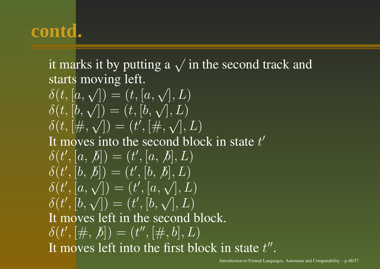it marks it by putting a  $\sqrt{}$  in the second track and starts moving left.  $\delta(t,[a,\sqrt{])=(t,[a,\sqrt{],L})$  $\delta(t,[b,\sqrt{])=(t,[b,\sqrt{],L})$  $\delta(t, [\#,\sqrt{}) = (t', [\#,\sqrt{},L])$ It moves into the second block in state  $t'$  $\delta(t', [a, b]) = (t', [a, b], L)$  $\delta(t', [b, b]) = (t', [b, b], L)$  $\delta(t', [a, \sqrt{r}]) = (t', [a, \sqrt{r}, L])$  $\delta(t', [b, \sqrt{}) = (t', [b, \sqrt{}), L)$ It moves left in the second block.  $\delta(t', [\#, \, \mathcal{b}]) = (t'', [\#, \, b], L)$ It moves left into the first block in state  $t''$ .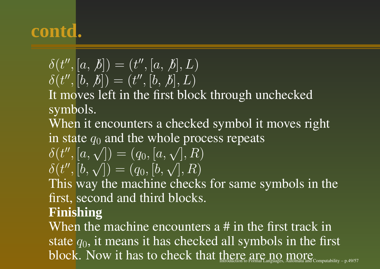$\delta(t'', [a, b]) = (t'', [a, b], L)$  $\delta(t'', [b, b]) = (t'', [b, b], L)$ 

It moves left in the first block through unchecked symbols.

When it encounters <sup>a</sup> checked symbol it moves right in state  $q_0$  and the whole process repeats

$$
\delta(t'', [a, \sqrt]) = (q_0, [a, \sqrt], R) \delta(t'', [b, \sqrt]) = (q_0, [b, \sqrt], R)
$$

This way the machine checks for same symbols in the first, second and third blocks.

#### **Finishing**

When the machine encounters <sup>a</sup> # in the first track in state  $q_0$ , it means it has checked all symbols in the first  $\bf{block}$  . Now it has to check that there are  $\operatorname*{area}_{\operatorname*{A}}$  more matrix and  $\operatorname*{compact}_{\operatorname*{A}}$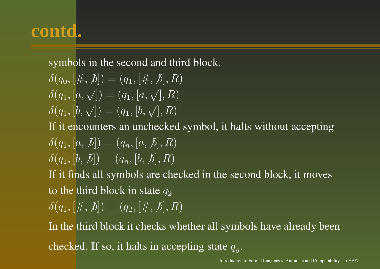symbols in the second and third block.

$$
\delta(q_0, [\#, \, \mathcal{b}]) = (q_1, [\#, \, \mathcal{b}], R) \n\delta(q_1, [a, \sqrt{]) = (q_1, [a, \sqrt{], R}) \n\delta(q_1, [b, \sqrt{]) = (q_1, [b, \sqrt{], R})
$$

If it encounters an unchecked symbol, it halts without accepting

$$
\delta(q_1, [a, b]) = (q_n, [a, b], R)
$$
  

$$
\delta(q_1, [b, b]) = (q_n, [b, b], R)
$$

If it finds all symbols are checked in the second block, it moves to the third block in state  $q_2$ 

$$
\delta(q_1, [\#, \, \cancel{b}]) = (q_2, [\#, \, \cancel{b}], R)
$$

In the third block it checks whether all symbols have already been checked. If so, it halts in accepting state  $q_y.$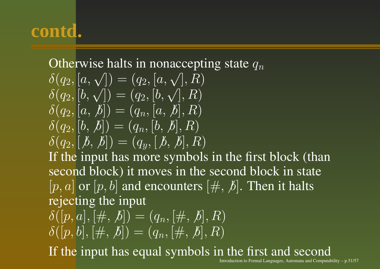#### Otherwise halts in nonaccepting state  $q_n$

$$
\begin{aligned}\n\delta(q_2, [a, \sqrt]) &= (q_2, [a, \sqrt], R) \\
\delta(q_2, [b, \sqrt]) &= (q_2, [b, \sqrt], R) \\
\delta(q_2, [a, \cancel{b}]) &= (q_n, [a, \cancel{b}], R) \\
\delta(q_2, [b, \cancel{b}]) &= (q_n, [b, \cancel{b}], R) \\
\delta(q_2, [b, \cancel{b}]) &= (q_y, [b, \cancel{b}], R)\n\end{aligned}
$$

If the input has more symbols in the first block (than second block) it moves in the second block in state  $[p, a]$  or  $[p, b]$  and encounters  $[\#, b]$ . Then it halts rejecting the input

$$
\overline{\delta([p,a],[\#,b])} = (q_n, [\#,b], R) \n\delta([p,b],[\#,b]) = (q_n, [\#,b], R)
$$

If the input has equal symbols in the first and second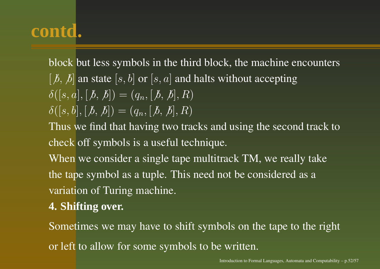block but less symbols in the third block, the machine encounters  $[\,b, b]$  an state  $[s, b]$  or  $[s, a]$  and halts without accepting  $\delta([s, a], [b, b]) = (q_n, [b, b], R)$  $\delta([s, b], [b, b]) = (q_n, [b, b], R)$ 

Thus we find that having two tracks and using the second track to check off symbols is <sup>a</sup> useful technique.

When we consider <sup>a</sup> single tape multitrack TM, we really take the tape symbol as <sup>a</sup> tuple. This need not be considered as <sup>a</sup> variation of Turing machine.

#### **4. Shifting over.**

Sometimes we may have to shift symbols on the tape to the right or left to allow for some symbols to be written.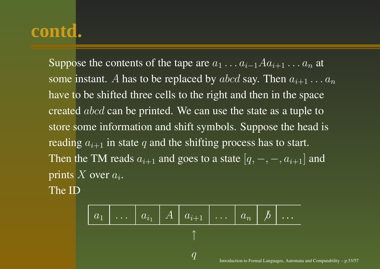Suppose the contents of the tape are  $a_1 \ldots a_{i-1} A a_{i+1} \ldots a_n$  at some instant.  $A$  has to be replaced by  $abcd$  say. Then  $a_{i+1}\dots a_n$ have to be shifted three cells to the right and then in the space created  $abcd$  can be printed. We can use the state as a tuple to store some information and shift symbols. Suppose the head is reading  $a_{i+1}$  in state q and the shifting process has to start. Then the TM reads  $a_{i+1}$  and goes to a state  $[q, -, -, a_{i+1}]$  and prints X over  $a_i$ .

The ID

| $a_1$ | ... | $a_{i_1}$ | A | $a_{i+1}$ | ... | $a_n$ | $\cancel{b}$ | ... |
|-------|-----|-----------|---|-----------|-----|-------|--------------|-----|
| 1     | 0   | 0         |   |           |     |       |              |     |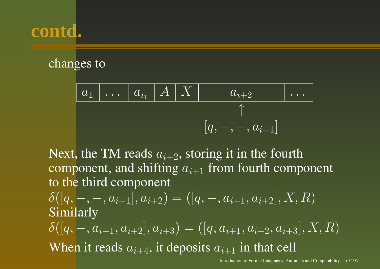#### changes to

$$
\begin{array}{c|c|c|c|c|c|c|c} a_1 & \ldots & a_{i_1} & A & X & a_{i+2} & \ldots \\ \hline & & & & & \uparrow & & \\ & & & & & \uparrow & & \\ & & & & & [q, -, -, a_{i+1}] & \end{array}
$$

Next, the TM reads  $a_{i+2}$ , storing it in the fourth component, and shifting  $a_{i+1}$  from fourth component to the third component

 $\delta([q,-,-,a_{i+1}],a_{i+2}) = ([q,-,a_{i+1},a_{i+2}],X,R)$ Similarly  $\delta([q,-,a_{i+1},a_{i+2}],a_{i+3}) = ([q,a_{i+1},a_{i+2},a_{i+3}],X,R)$ When it reads  $a_{i+4}$ , it deposits  $a_{i+1}$  in that cell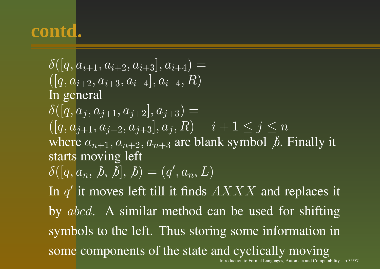$\delta([q, a_{i+1}, a_{i+2}, a_{i+3}], a_{i+4}) =$  $([q, a_{i+2}, a_{i+3}, a_{i+4}], a_{i+4}, R)$ In general  $\delta(|q, a_i, a_{i+1}, a_{i+2}|, a_{i+3}) =$  $([q, a_{i+1}, a_{i+2}, a_{i+3}], a_i, R)$   $i + 1 \leq j \leq n$ where  $a_{n+1}, a_{n+2}, a_{n+3}$  are blank symbol  $\beta$ . Finally it starts moving left  $\delta([q, a_n, b, b], b) = (q', a_n, L)$ In  $q'$  it moves left till it finds  $AXXX$  and replaces it by abcd. A similar method can be used for shifting symbols to the left. Thus storing some information in some components of the state and cyclically moving Introduction to Formal Languages, Automata and Computability – p.55/57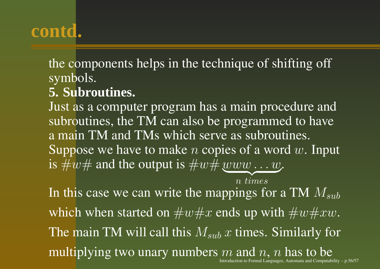#### the components helps in the technique of shifting off symbols.

#### **5. Subroutines.**

Just as a computer program has <sup>a</sup> main procedure and subroutines, the TM can also be programmed to have a main TM and TMs which serve as subroutines. Suppose we have to make *n* copies of a word  $w$ . Input is  $\#w\#$  and the output is  $\#w\#$  www  $\dots w$ .

 $n \; times$ In this case we can write the mappings for a TM  $M_{sub}$ which when started on  $\#w\#x$  ends up with  $\#w\#xw.$ The main TM will call this  $M_{sub}$   $x$  times. Similarly for multiplying two unary numbers m and  $n$ , n has to be Introduction to Formal Languages, Automata and Computability  $- p.56/57$